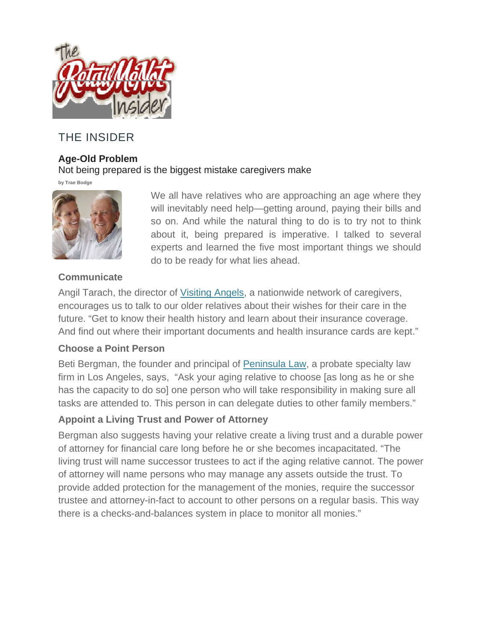

# THE INSIDER

### **Age-Old Problem**

Not being prepared is the biggest mistake caregivers make

**by Trae Bodge**



We all have relatives who are approaching an age where they will inevitably need help—getting around, paying their bills and so on. And while the natural thing to do is to try not to think about it, being prepared is imperative. I talked to several experts and learned the five most important things we should do to be ready for what lies ahead.

# **Communicate**

Angil Tarach, the director of Visiting Angels, a nationwide network of caregivers, encourages us to talk to our older relatives about their wishes for their care in the future. "Get to know their health history and learn about their insurance coverage. And find out where their important documents and health insurance cards are kept."

### **Choose a Point Person**

Beti Bergman, the founder and principal of Peninsula Law, a probate specialty law firm in Los Angeles, says, "Ask your aging relative to choose [as long as he or she has the capacity to do so] one person who will take responsibility in making sure all tasks are attended to. This person in can delegate duties to other family members."

# **Appoint a Living Trust and Power of Attorney**

Bergman also suggests having your relative create a living trust and a durable power of attorney for financial care long before he or she becomes incapacitated. "The living trust will name successor trustees to act if the aging relative cannot. The power of attorney will name persons who may manage any assets outside the trust. To provide added protection for the management of the monies, require the successor trustee and attorney-in-fact to account to other persons on a regular basis. This way there is a checks-and-balances system in place to monitor all monies."